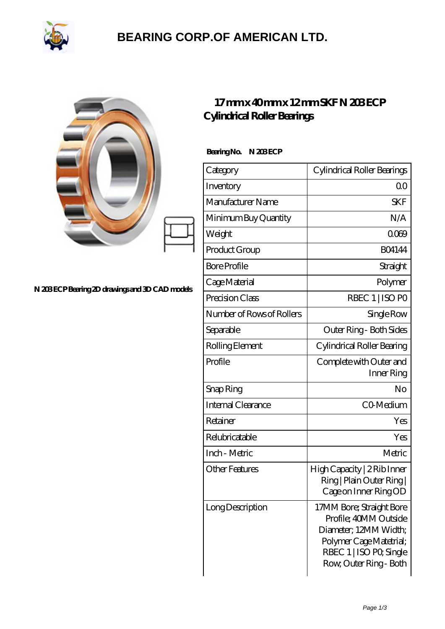

### **[BEARING CORP.OF AMERICAN LTD.](https://2urt-utz.de)**

| 17r<br>Cylino  |
|----------------|
| Bearing        |
| Catego         |
| Invent         |
| Manuf          |
| Minim          |
| Weigh<br>Produ |
|                |

#### **[N 203 ECP Bearing 2D drawings and 3D CAD models](https://2urt-utz.de/pic-262381.html)**

### **[17 mm x 40 mm x 12 mm SKF N 203 ECP](https://2urt-utz.de/bs-262381-skf-n-203-ecp-cylindrical-roller-bearings.html) [Cylindrical Roller Bearings](https://2urt-utz.de/bs-262381-skf-n-203-ecp-cylindrical-roller-bearings.html)**

**No. N 203 ECP** 

| Category                  | Cylindrical Roller Bearings                                                                                                                                |
|---------------------------|------------------------------------------------------------------------------------------------------------------------------------------------------------|
| Inventory                 | 0 <sup>0</sup>                                                                                                                                             |
| Manufacturer Name         | <b>SKF</b>                                                                                                                                                 |
| Minimum Buy Quantity      | N/A                                                                                                                                                        |
| Weight                    | 0009                                                                                                                                                       |
| Product Group             | <b>BO4144</b>                                                                                                                                              |
| <b>Bore Profile</b>       | Straight                                                                                                                                                   |
| Cage Material             | Polymer                                                                                                                                                    |
| Precision Class           | RBEC 1   ISO PO                                                                                                                                            |
| Number of Rows of Rollers | Single Row                                                                                                                                                 |
| Separable                 | Outer Ring - Both Sides                                                                                                                                    |
| Rolling Element           | Cylindrical Roller Bearing                                                                                                                                 |
| Profile                   | Complete with Outer and<br>Inner Ring                                                                                                                      |
| Snap Ring                 | No                                                                                                                                                         |
| Internal Clearance        | CO-Medium                                                                                                                                                  |
| Retainer                  | Yes                                                                                                                                                        |
| Relubricatable            | Yes                                                                                                                                                        |
| Inch - Metric             | Metric                                                                                                                                                     |
| Other Features            | High Capacity   2 Rib Inner<br>Ring   Plain Outer Ring  <br>Cage on Inner Ring OD                                                                          |
| Long Description          | 17MM Bore; Straight Bore<br>Profile; 40MM Outside<br>Diameter; 12MM Width;<br>Polymer Cage Matetrial;<br>RBEC 1   ISO PO, Single<br>Row, Outer Ring - Both |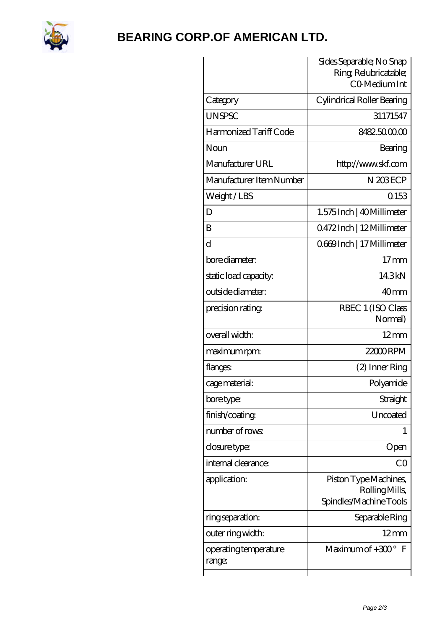

## **[BEARING CORP.OF AMERICAN LTD.](https://2urt-utz.de)**

|                                 | Sides Separable; No Snap<br>Ring, Relubricatable;<br>CO-Medium Int |
|---------------------------------|--------------------------------------------------------------------|
| Category                        | Cylindrical Roller Bearing                                         |
| <b>UNSPSC</b>                   | 31171547                                                           |
| Harmonized Tariff Code          | 8482500000                                                         |
| Noun                            | Bearing                                                            |
| Manufacturer URL                | http://www.skf.com                                                 |
| Manufacturer Item Number        | N 203ECP                                                           |
| Weight/LBS                      | 0153                                                               |
| D                               | 1.575 Inch   40 Millimeter                                         |
| B                               | Q472Inch   12Millimeter                                            |
| d                               | 0669Inch   17 Millimeter                                           |
| bore diameter:                  | 17 <sub>mm</sub>                                                   |
| static load capacity:           | 143kN                                                              |
| outside diameter:               | 40 <sub>mm</sub>                                                   |
| precision rating                | RBEC 1 (ISO Class<br>Normal)                                       |
| overall width:                  | $12 \text{mm}$                                                     |
| maximum rpm:                    | 22000RPM                                                           |
| flanges                         | (2) Inner Ring                                                     |
| cage material:                  | Polyamide                                                          |
| bore type:                      | Straight                                                           |
| finish/coating                  | Uncoated                                                           |
| number of rows:                 | 1                                                                  |
| closure type:                   | Open                                                               |
| internal clearance:             | CO                                                                 |
| application:                    | Piston Type Machines,<br>Rolling Mills<br>Spindles/Machine Tools   |
| ring separation:                | Separable Ring                                                     |
| outer ring width:               | $12 \text{mm}$                                                     |
| operating temperature<br>range: | Maximum of $+300^\circ$<br>F                                       |